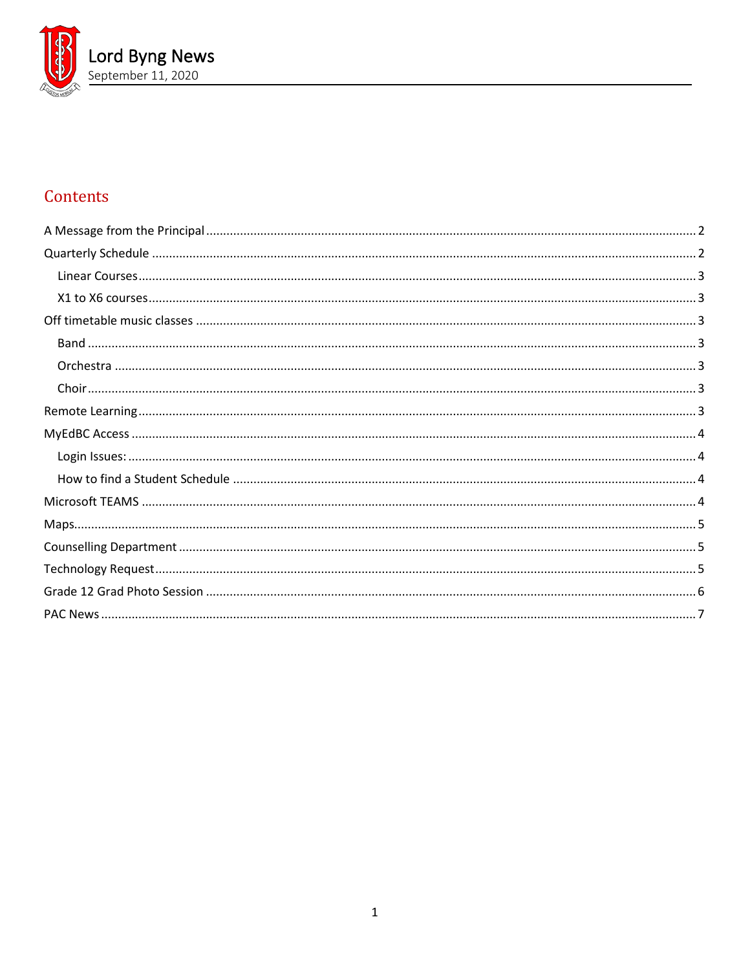

# Contents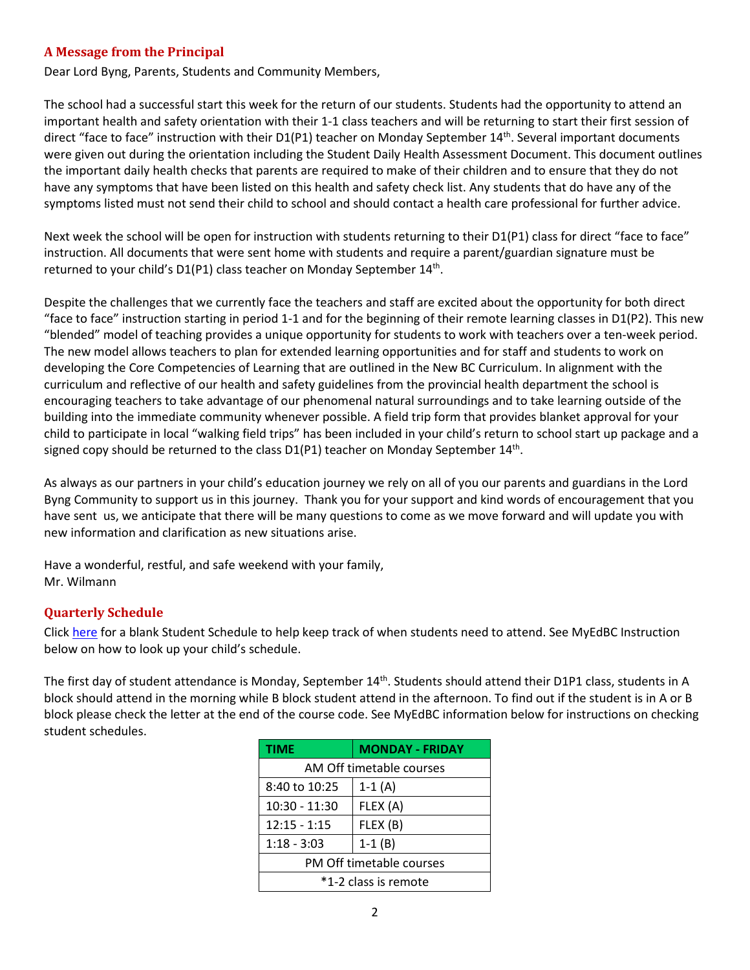# <span id="page-1-0"></span>**A Message from the Principal**

Dear Lord Byng, Parents, Students and Community Members,

The school had a successful start this week for the return of our students. Students had the opportunity to attend an important health and safety orientation with their 1-1 class teachers and will be returning to start their first session of direct "face to face" instruction with their D1(P1) teacher on Monday September 14<sup>th</sup>. Several important documents were given out during the orientation including the Student Daily Health Assessment Document. This document outlines the important daily health checks that parents are required to make of their children and to ensure that they do not have any symptoms that have been listed on this health and safety check list. Any students that do have any of the symptoms listed must not send their child to school and should contact a health care professional for further advice.

Next week the school will be open for instruction with students returning to their D1(P1) class for direct "face to face" instruction. All documents that were sent home with students and require a parent/guardian signature must be returned to your child's D1(P1) class teacher on Monday September 14<sup>th</sup>.

Despite the challenges that we currently face the teachers and staff are excited about the opportunity for both direct "face to face" instruction starting in period 1-1 and for the beginning of their remote learning classes in D1(P2). This new "blended" model of teaching provides a unique opportunity for students to work with teachers over a ten-week period. The new model allows teachers to plan for extended learning opportunities and for staff and students to work on developing the Core Competencies of Learning that are outlined in the New BC Curriculum. In alignment with the curriculum and reflective of our health and safety guidelines from the provincial health department the school is encouraging teachers to take advantage of our phenomenal natural surroundings and to take learning outside of the building into the immediate community whenever possible. A field trip form that provides blanket approval for your child to participate in local "walking field trips" has been included in your child's return to school start up package and a signed copy should be returned to the class  $D1(P1)$  teacher on Monday September  $14<sup>th</sup>$ .

As always as our partners in your child's education journey we rely on all of you our parents and guardians in the Lord Byng Community to support us in this journey. Thank you for your support and kind words of encouragement that you have sent us, we anticipate that there will be many questions to come as we move forward and will update you with new information and clarification as new situations arise.

Have a wonderful, restful, and safe weekend with your family, Mr. Wilmann

# <span id="page-1-1"></span>**Quarterly Schedule**

Click [here](https://www.vsb.bc.ca/repository/SBAttachments/c997a44f-30d3-4640-8ce8-79bda7b5111c_Studentschedule.pdf) for a blank Student Schedule to help keep track of when students need to attend. See MyEdBC Instruction below on how to look up your child's schedule.

The first day of student attendance is Monday, September  $14<sup>th</sup>$ . Students should attend their D1P1 class, students in A block should attend in the morning while B block student attend in the afternoon. To find out if the student is in A or B block please check the letter at the end of the course code. See MyEdBC information below for instructions on checking student schedules.

| <b>TIME</b>              | <b>MONDAY - FRIDAY</b> |  |  |  |
|--------------------------|------------------------|--|--|--|
| AM Off timetable courses |                        |  |  |  |
| 8:40 to 10:25            | $1-1(A)$               |  |  |  |
| $10:30 - 11:30$          | FLEX (A)               |  |  |  |
| 12:15 - 1:15             | FLEX (B)               |  |  |  |
| $1:18 - 3:03$            | $1-1(B)$               |  |  |  |
| PM Off timetable courses |                        |  |  |  |
| *1-2 class is remote     |                        |  |  |  |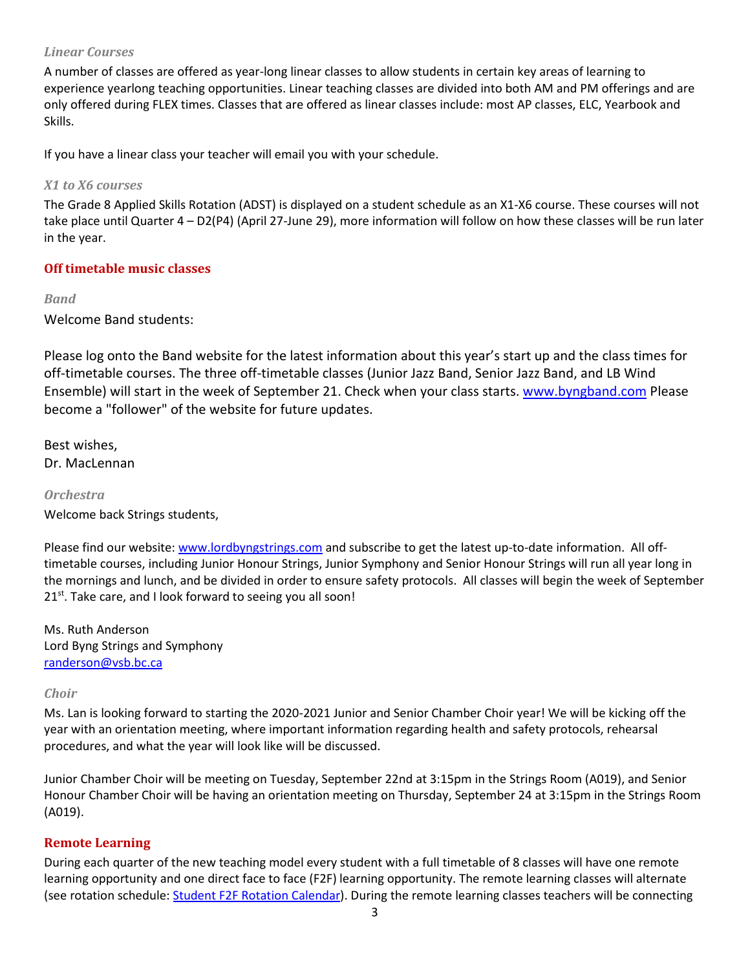### <span id="page-2-0"></span>*Linear Courses*

A number of classes are offered as year-long linear classes to allow students in certain key areas of learning to experience yearlong teaching opportunities. Linear teaching classes are divided into both AM and PM offerings and are only offered during FLEX times. Classes that are offered as linear classes include: most AP classes, ELC, Yearbook and Skills.

<span id="page-2-1"></span>If you have a linear class your teacher will email you with your schedule.

### *X1 to X6 courses*

The Grade 8 Applied Skills Rotation (ADST) is displayed on a student schedule as an X1-X6 course. These courses will not take place until Quarter 4 – D2(P4) (April 27-June 29), more information will follow on how these classes will be run later in the year.

# <span id="page-2-2"></span>**Off timetable music classes**

### <span id="page-2-3"></span>*Band*

Welcome Band students:

Please log onto the Band website for the latest information about this year's start up and the class times for off-timetable courses. The three off-timetable classes (Junior Jazz Band, Senior Jazz Band, and LB Wind Ensemble) will start in the week of September 21. Check when your class starts. [www.byngband.com](http://www.byngband.com/) Please become a "follower" of the website for future updates.

Best wishes, Dr. MacLennan

### <span id="page-2-4"></span>*Orchestra*

Welcome back Strings students,

Please find our website[: www.lordbyngstrings.com](http://www.lordbyngstrings.com/) and subscribe to get the latest up-to-date information. All offtimetable courses, including Junior Honour Strings, Junior Symphony and Senior Honour Strings will run all year long in the mornings and lunch, and be divided in order to ensure safety protocols. All classes will begin the week of September 21<sup>st</sup>. Take care, and I look forward to seeing you all soon!

Ms. Ruth Anderson Lord Byng Strings and Symphony [randerson@vsb.bc.ca](mailto:randerson@vsb.bc.ca)

### <span id="page-2-5"></span>*Choir*

Ms. Lan is looking forward to starting the 2020-2021 Junior and Senior Chamber Choir year! We will be kicking off the year with an orientation meeting, where important information regarding health and safety protocols, rehearsal procedures, and what the year will look like will be discussed.

Junior Chamber Choir will be meeting on Tuesday, September 22nd at 3:15pm in the Strings Room (A019), and Senior Honour Chamber Choir will be having an orientation meeting on Thursday, September 24 at 3:15pm in the Strings Room (A019).

# <span id="page-2-6"></span>**Remote Learning**

During each quarter of the new teaching model every student with a full timetable of 8 classes will have one remote learning opportunity and one direct face to face (F2F) learning opportunity. The remote learning classes will alternate (see rotation schedule: [Student F2F Rotation Calendar\)](https://www.vsb.bc.ca/repository/SBAttachments/8e11130a-23bc-4157-9294-1c252018cc4d_STUDENTF2FandRemoteBlockCalendar2020-2021.pdf). During the remote learning classes teachers will be connecting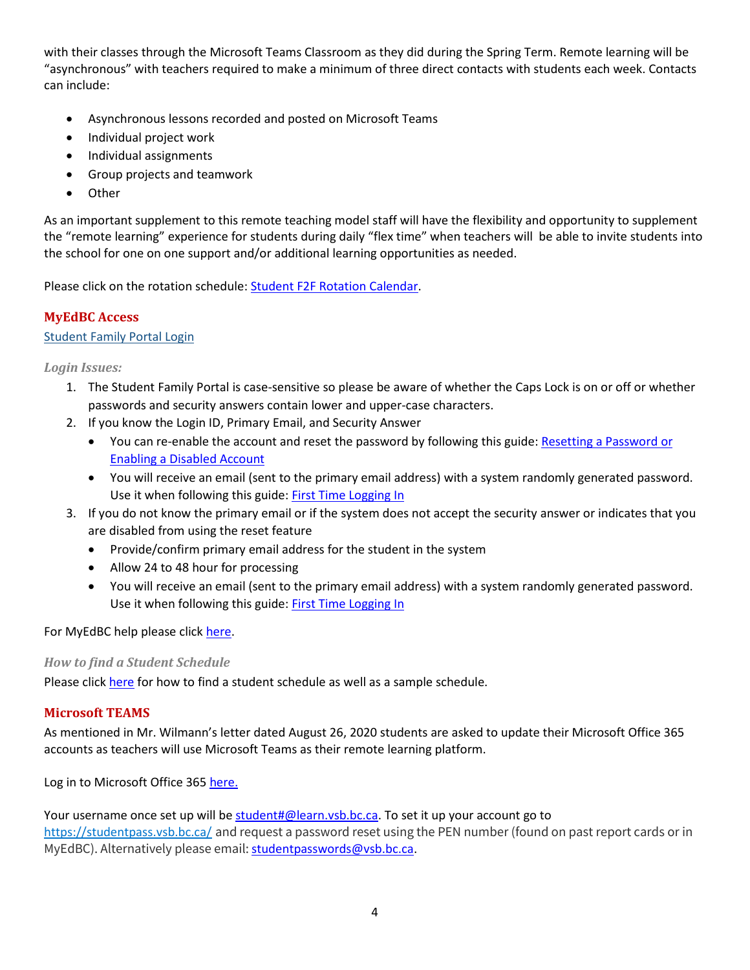with their classes through the Microsoft Teams Classroom as they did during the Spring Term. Remote learning will be "asynchronous" with teachers required to make a minimum of three direct contacts with students each week. Contacts can include:

- Asynchronous lessons recorded and posted on Microsoft Teams
- Individual project work
- Individual assignments
- Group projects and teamwork
- Other

As an important supplement to this remote teaching model staff will have the flexibility and opportunity to supplement the "remote learning" experience for students during daily "flex time" when teachers will be able to invite students into the school for one on one support and/or additional learning opportunities as needed.

Please click on the rotation schedule[: Student F2F Rotation Calendar.](https://www.vsb.bc.ca/repository/SBAttachments/8e11130a-23bc-4157-9294-1c252018cc4d_STUDENTF2FandRemoteBlockCalendar2020-2021.pdf)

# <span id="page-3-0"></span>**MyEdBC Access**

# [Student Family Portal Login](https://www.myeducation.gov.bc.ca/aspen/logon.do)

<span id="page-3-1"></span>*Login Issues:*

- 1. The Student Family Portal is case-sensitive so please be aware of whether the Caps Lock is on or off or whether passwords and security answers contain lower and upper-case characters.
- 2. If you know the Login ID, Primary Email, and Security Answer
	- You can re-enable the account and reset the password by following this guide: [Resetting a Password or](http://go.vsb.bc.ca/schools/MyEdStudentFamilyPortalSupport/QuickReferenceGuides/QRG%20Resetting%20a%20Password%20or%20Enabling%20a%20Disabled%20Account.pdf)  [Enabling a Disabled Account](http://go.vsb.bc.ca/schools/MyEdStudentFamilyPortalSupport/QuickReferenceGuides/QRG%20Resetting%20a%20Password%20or%20Enabling%20a%20Disabled%20Account.pdf)
	- You will receive an email (sent to the primary email address) with a system randomly generated password. Use it when following this guide: [First Time Logging In](http://go.vsb.bc.ca/schools/MyEdStudentFamilyPortalSupport/QuickReferenceGuides/QRG%20First%20Time%20Logging%20In.pdf)
- 3. If you do not know the primary email or if the system does not accept the security answer or indicates that you are disabled from using the reset feature
	- Provide/confirm primary email address for the student in the system
	- Allow 24 to 48 hour for processing
	- You will receive an email (sent to the primary email address) with a system randomly generated password. Use it when following this guide: [First Time Logging In](http://go.vsb.bc.ca/schools/MyEdStudentFamilyPortalSupport/QuickReferenceGuides/QRG%20First%20Time%20Logging%20In.pdf)

<span id="page-3-2"></span>For MyEdBC help please click [here.](https://www.vsb.bc.ca/Student_Support/General_Resources/MyEdBCStudentFamilyPortal/Pages/Account-Management.aspx)

# *How to find a Student Schedule*

Please click [here](https://www.vsb.bc.ca/repository/SBAttachments/c997a44f-30d3-4640-8ce8-79bda7b5111c_HowtoCheckaStudentScheduleinMyEdBCwithsample.pdf) for how to find a student schedule as well as a sample schedule.

# <span id="page-3-3"></span>**Microsoft TEAMS**

As mentioned in Mr. Wilmann's letter dated August 26, 2020 students are asked to update their Microsoft Office 365 accounts as teachers will use Microsoft Teams as their remote learning platform.

Log in to Microsoft Office 365 [here.](https://www.vsb.bc.ca/schools/lord-byng/About-Us/news/_layouts/15/ci/post.aspx?oaid=65e05d59-fba9-4771-9379-ab642b10f7b3&oact=20001)

Your username once set up will be [student#@learn.vsb.bc.ca.](mailto:student#@learn.vsb.bc.ca) To set it up your account go to <https://studentpass.vsb.bc.ca/> and request a password reset using the PEN number (found on past report cards or in MyEdBC). Alternatively please email: [studentpasswords@vsb.bc.ca.](mailto:studentpasswords@vsb.bc.ca)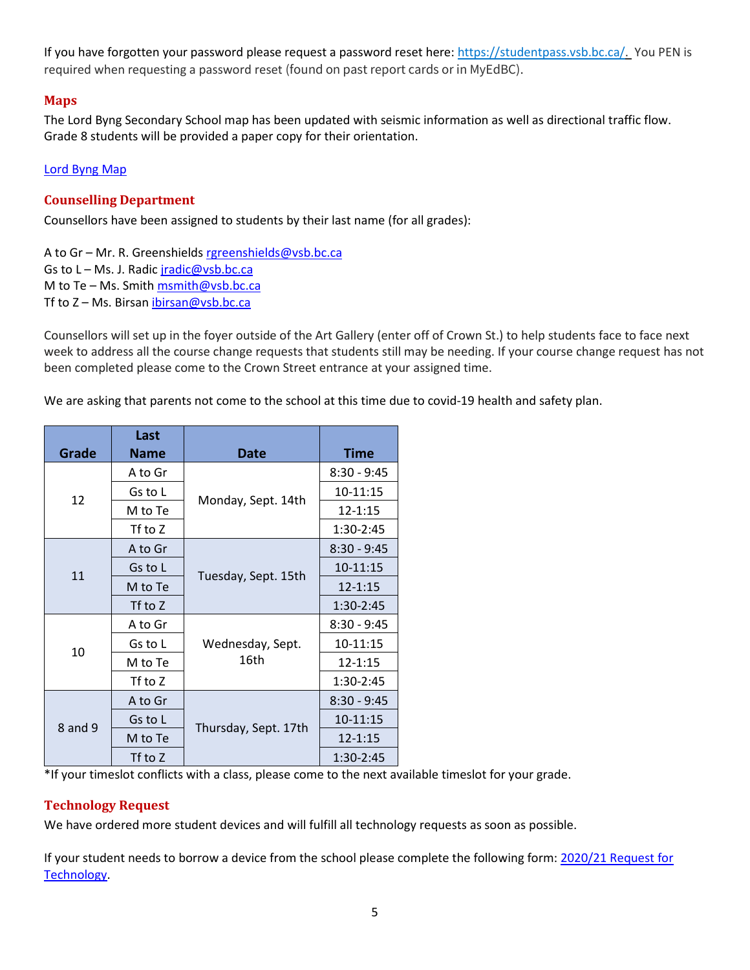If you have forgotten your password please request a password reset here[: https://studentpass.vsb.bc.ca/.](https://studentpass.vsb.bc.ca/) You PEN is required when requesting a password reset (found on past report cards or in MyEdBC).

# <span id="page-4-0"></span>**Maps**

The Lord Byng Secondary School map has been updated with seismic information as well as directional traffic flow. Grade 8 students will be provided a paper copy for their orientation.

# <span id="page-4-1"></span>[Lord Byng Map](https://www.vsb.bc.ca/repository/SBAttachments/8e11130a-23bc-4157-9294-1c252018cc4d_LordByngSecondaryMapSept2020.pdf)

# **Counselling Department**

Counsellors have been assigned to students by their last name (for all grades):

A to Gr - Mr. R. Greenshields [rgreenshields@vsb.bc.ca](mailto:rgreenshields@vsb.bc.ca) Gs to L - Ms. J. Radic [jradic@vsb.bc.ca](mailto:jradic@vsb.bc.ca) M to Te – Ms. Smit[h msmith@vsb.bc.ca](mailto:msmith@vsb.bc.ca) Tf to Z - Ms. Birsan [ibirsan@vsb.bc.ca](mailto:ibirsan@vsb.bc.ca)

Counsellors will set up in the foyer outside of the Art Gallery (enter off of Crown St.) to help students face to face next week to address all the course change requests that students still may be needing. If your course change request has not been completed please come to the Crown Street entrance at your assigned time.

We are asking that parents not come to the school at this time due to covid-19 health and safety plan.

| Grade                                          | Last<br><b>Name</b> | Date                     | Time          |
|------------------------------------------------|---------------------|--------------------------|---------------|
| 12                                             | A to Gr             | Monday, Sept. 14th       | $8:30 - 9:45$ |
|                                                | Gs to L             |                          | $10-11:15$    |
|                                                | M to Te             |                          | $12 - 1:15$   |
|                                                | Tf to Z             |                          | 1:30-2:45     |
| 11                                             | A to Gr             | Tuesday, Sept. 15th      | $8:30 - 9:45$ |
|                                                | Gs to L             |                          | 10-11:15      |
|                                                | M to Te             |                          | $12 - 1:15$   |
|                                                | Tf to Z             |                          | 1:30-2:45     |
| A to Gr<br>Gs to L<br>10<br>M to Te<br>Tf to Z |                     | Wednesday, Sept.<br>16th | $8:30 - 9:45$ |
|                                                |                     |                          | $10-11:15$    |
|                                                |                     |                          | $12 - 1:15$   |
|                                                |                     |                          | 1:30-2:45     |
| 8 and 9                                        | A to Gr             | Thursday, Sept. 17th     | $8:30 - 9:45$ |
|                                                | Gs to L             |                          | 10-11:15      |
|                                                | M to Te             |                          | $12 - 1:15$   |
|                                                | Tf to Z             |                          | $1:30-2:45$   |

<span id="page-4-2"></span>\*If your timeslot conflicts with a class, please come to the next available timeslot for your grade.

# **Technology Request**

We have ordered more student devices and will fulfill all technology requests as soon as possible.

If your student needs to borrow a device from the school please complete the following form: 2020/21 Request for [Technology.](https://forms.office.com/Pages/ResponsePage.aspx?id=WC6KCzB7CEq6t9dVWeDjpcU6_SJBxJFAvnYu4EP3zdBUQjczVkhOWkdMRkk3S0IwWUpOMUszVlVUVC4u)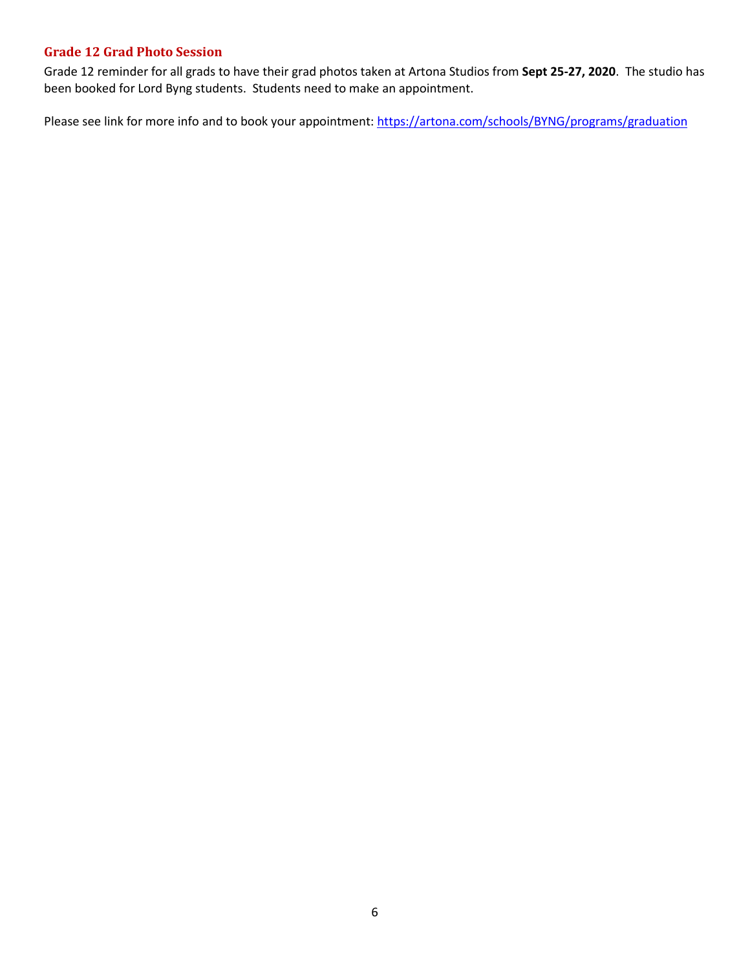# <span id="page-5-0"></span>**Grade 12 Grad Photo Session**

Grade 12 reminder for all grads to have their grad photos taken at Artona Studios from **Sept 25-27, 2020**. The studio has been booked for Lord Byng students. Students need to make an appointment.

Please see link for more info and to book your appointment:<https://artona.com/schools/BYNG/programs/graduation>